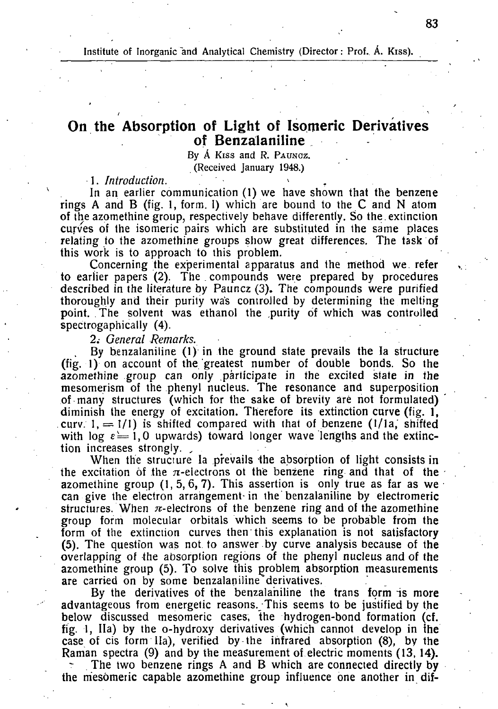**Institute of Inorganic and Analytical Chemistry (Director: Prof.. A. Kiss).** 

## **On the Absorption of Light of Isomeric Derivatives of Benzalaniline**

**By** Á **Kiss and R.** PAUNCZ. **(Received January 1948.)** 

*1. Introduction. \* .* 

In an earlier communication (1) we have shown that the benzene rings A and B (fig. 1, form. I) which are bound to the C and N atom of the azomethine group, respectively behave differently. So the . extinction curves of the isomeric pairs which are substituted in the same places relating to the azomethine groups show great differences. The task of this work is to approach to this problem.

Concerning the experimental apparatus and the method we. refer to earlier papers (2). The compounds were prepared by procedures described in the literature by Pauncz (3). The compounds were purified thoroughly and their purity was controlled by determining the melting point. The solvent was ethanol the purity of which was controlled spectrogaphically (4).

2.- *General Remarks.* 

, By benzalaniline (1) in the ground state prevails the la structure (fig. 1) on account of the greatest number of double bonds. So the azomethine group can only participate in the excited state in the mesomerism of the phenyl nucleus. The resonance and superposition of many structures (which for the sake of brevity aré not formulated) diminish the energy of excitation. Therefore its extinction curve (fig. 1. curv.  $1, = 1/1$  is shifted compared with that of benzene (1/1a, shifted with log  $\epsilon = 1, 0$  upwards) toward longer wave lengths and the extinction increases strongly.

When the structure la prevails the absorption of light consists in the excitation of the  $\pi$ -eiectrons ot the benzene ring and that of the azomethine group  $(1, 5, 6, 7)$ . This assertion is only true as far as we can give the electron arrangement-in the benzalaniline by electromeric structures. When  $\pi$ -electrons of the benzene ring and of the azomethine group form molecular orbitals which seems to be probable from the form of the extinction curves then this explanation is not satisfactory (5). The question was not. to answer by curve analysis because of the overlapping of the absorption regions of the phenyl nucleus and of the azomethine group (5). To solve this problem absorption measurements are carried on by some benzalaniline derivatives.

By the derivatives of the benzalaniline the trans form is more advantageous from energetic reasons. This seems to be justified by the below discussed mesomeric cases, the hydrogen-bond formation (cf. fig. 1, Ila) by the o-hydroxy derivatives (which cannot develop in ihe case of cis form Ila), verified by the infrared absorption (8), by the Raman spectra (9) and by the measurement of electric moments (13, 14).

The two benzene rings A and B which are connected directly by the mesomeric capable azomethine group influence one another in dif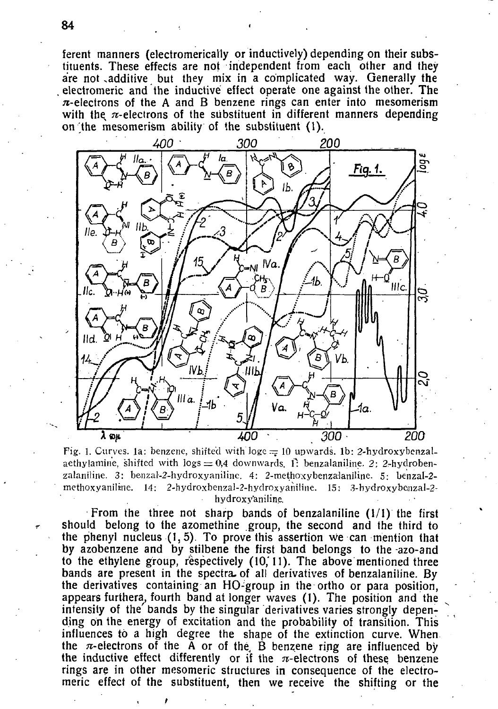ferent manners (electromerically or inductively) depending on their substituents. These effects are not independent from each other and they are not additive but they mix in a complicated way. Generally the electromeric and the inductive effect operate one against the other. The  $\pi$ -electrons of the A and B benzene rings can enter into mesomerism with the  $\pi$ -electrons of the substituent in different manners depending on the mesomerism ability of the substituent (1).



Fig. 1. Curves, 1a: benzene, shifted with loge = 10 upwards, 1b: 2-hydroxybenzalaethylamine, shifted with  $\log s = 0.4$  downwards, i: benzalaniline. 2: 2-hydroben**zalaniline. 3: benzal-2-hydroxyaniline. 4: 2-methoxybenzalaniline. 5; benzal-2 methoxyaniliine. 14: 2-hydroxbenzaI-2-hydroxyaniline. 15: 3-hydroxybenzal-2 hydroxy'aniline.** 

From the three not sharp bands of benzalaniline (1/1) the first should belong to the azomethine group, the second and the third to the phenyl nucleus (1, 5). To prove this assertion we can mention that by azobenzene and by stilbene the first band belongs to the azo-and to the ethylene group, respectively  $(10, 11)$ . The above mentioned three bands are present in the spectra, of all derivatives of benzalaniline. By the derivatives containing an HO-group in the ortho or para position, appears furthera, fourth band at longer waves (1). The position and the intensity of the' bands by the singular derivatives varies strongly depending on the energy of excitation and the probability of transition. This influences to a high degree the shape of the extinction curve. When the  $\pi$ -electrons of the A or of the B benzene ring are influenced by the inductive effect differently or if the  $\pi$ -electrons of these benzene rings are in other mesomeric structures in consequence of the electromeric effect of the substituent, then we receive the shifting or the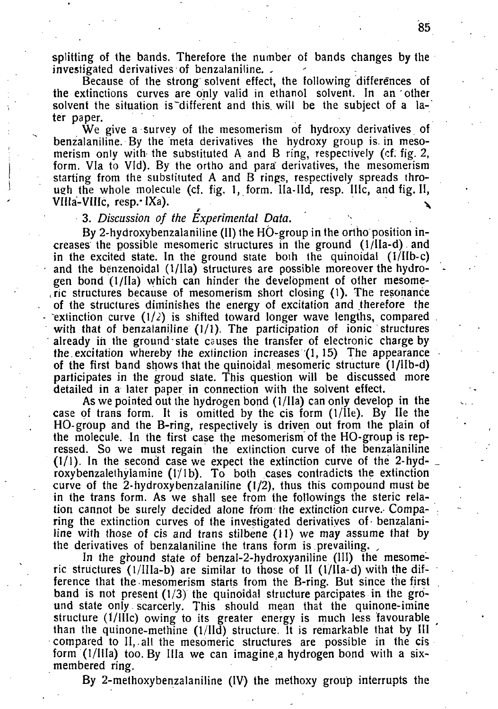splitting of the bands. Therefore the number of bands changes by the investigated derivatives of benzalaniline. -

Because of the strong solvent effect, the following differences of the extinctions curves are only valid in ethanol solvent. In an other solvent the situation is different and this will be the subject of a later paper.

We give a survey of the mesomerism of hydroxy derivatives of benzalaniline. By the meta derivatives the hydroxy group is. in mesomerism only witb the substituted A and B ring, respectively (cf: fig. 2, form. Vla to VId). By the ortho and para derivatives, the mesomerism starting from the substituted A and B rings, respectively spreads through the whole molecule (cf. fig. 1, form. Ila-IId, resp. IIIc, and fig. II, VIHa-VIIIc, resp.- IXa).<sup>x</sup>

## 3. *Discussion of the Experimental Data.*

By 2-hydroxybenzalaniline (II) the HO-group in the ortho position increases the possible mesomeric structures in the ground (1/IIa-d) and in the excited state. In the ground state both the quinoidal (I/IIb-c) and the benzenoidal (1/IIa) structures are possible moreover the hydrogen bond (1/IIa) which can hinder the development of other mesome- , ric structures because of mesomerism short closing (1). The resonance of the structures diminishes the energy of excitation and therefore the extinction curve  $(1/2)$  is shifted toward longer wave lengths, compared with that of benzalaniline  $(1/1)$ . The participation of ionic structures already in the ground state causes the transfer of electronic charge by the excitation whereby the extinction increases  $(1, 15)$  The appearance of the first band shows that the quinoidal mesomeric structure (1/IIb-d) participates in the groud state. This question will be discussed more detailed in a later paper in connection with the solvent effect.

As we pointed out the hydrogen bond (1/IIa) can only develop in the case of trans form. It is omitted by the cis form (1/IIe). By He the HO-group and the B-ring, respectively is driven out from the plain of the molecule. In the first case the mesomerism of the HO-group is repressed. So we must regain the extinction curve of the benzalaniline (1/1). In the second case we expect the extinction curve of the 2-hydroxybenzalethylamine  $(1/1b)$ . To both cases contradicts the extinction curve of the 2-hydroxybenzalaniline (1/2), thus this compound must be in the trans form. As we shall see from the fallowings the steric relation cannot be surely decided alone from the extinction curve. Comparing the extinction curves of the investigated derivatives of benzalaniline with those *of* cis and trans stilbene (11) we may assume that by the derivatives of benzalaniline the trans form is prevailing. ,

In the ground state of benzal-2-hydroxyaniline (III) the mesomeric structures (l/IIIa-b) are similar to those of II (1/IIa-d) with the difference that the mesomerism starts from the B-ring. But since the first band is not present  $(1/3)$  the quinoidal structure parcipates in the ground state only. scarcerly. This should mean that the quinone-imine structure (1/lIIc) owing to its greater energy is much less favourable than the quinone-methine (1/IId) structure. It is remarkable that by III compared to II,.all the mesomeric structures are possible in the cis form (1/IIIa) too. By Ilia we can imagine,a hydrogen bond with a sixmembered ring.

By 2-methoxybenzalaniline (IV) the methoxy group interrupts the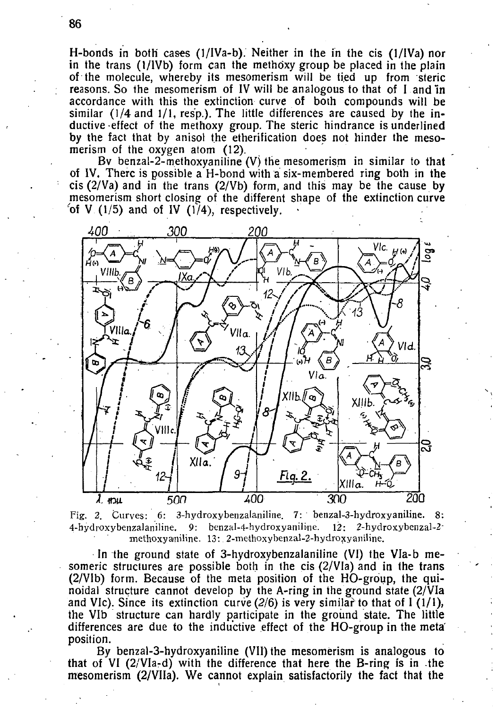H-bonds in both cases (1/IVa-b). Neither in the in the cis (1/IVa) nor in the trans (1/lVb) form can the methoxy group be placed in the plain of the molecule, whereby its mesomerism will be tied up from steric reasons. So the mesomerism of IV will be analogous to that of I and In accordance with this the extinction curve of both compounds will be similar (1/4 and 1/1, resp.). The little differences are caused by the inductive effect of the methoxy group. The steric hindrance is underlined by the fact that by anisol the etherification does not hinder the mesomerism of the oxygen atom (12).

Bv benzal-2-methoxyaniline (V) the mesomerism in similar to that of IV. There is possible a H-bond with a six-membered ring both in the cis  $(2/\sqrt{v})$  and in the trans  $(2/\sqrt{v})$  form, and this may be the cause by mesomerism short closing of the different shape of the extinction curve of V  $(1/5)$  and of IV  $(1/4)$ , respectively.



Fig. 2. Curves: 6: 3-hydroxybenzalaniline. 7: benzal-3-hydroxyaniline. 8: **4-hydroxybenzalaniline. 9: benzal-4-hydroxyaniline. 12: 2-hydroxybenzal-2 methoxyaniline. 13: 2-methoxybenzal-2-hydroxyaniline.** 

In the ground state of 3-hydroxybenzalaniline (VI) the Vla-b mesomeric structures are possible both in the cis (2/VIa) and in the trans (2/VIb) form. Because of the meta position of the HO-group, the quinoidal structure cannot develop by the A-ring in the ground state (2/VIa and VIc). Since its extinction curve  $(2/6)$  is very similar to that of I (1/1), the VIb structure can hardly participate in the ground state. The little differences are due to the inductive effect of the HO-group in the meta' position.

By benzal-3-hydroxyaniline (VII) the mesomerism is analogous to that of VI (2/VIa-d) with the difference that here the B-ring is in the mesomerism (2/VIIa). We cannot explain satisfactorily the fact that the

86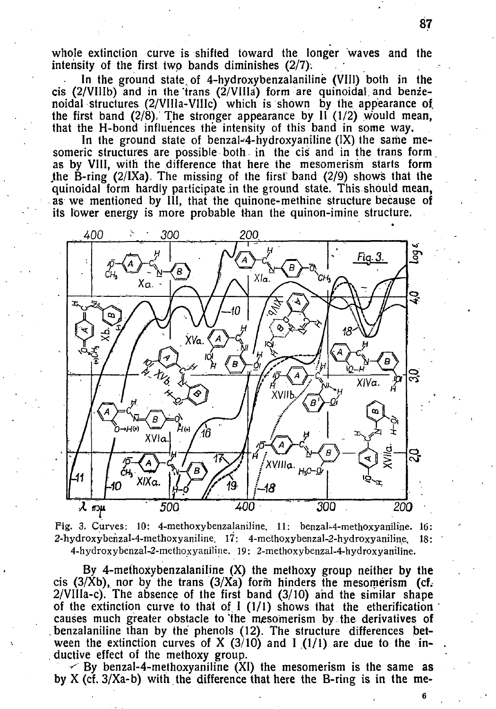whole extinction curve is shifted toward the longer waves and the intensity of the first two bands diminishes (2/7).

In the ground state, of 4-hydroxybenzalanilinë (VIII) both in the cis (2/VIIIb) and in the'trans (2/VIIIâ) form are quinoidal and benzenoidal structures (2/VIIIa-VIIIc) which is shown by the appearance of. the first band  $(2/8)$ . The stronger appearance by II  $(1/2)$  would mean, that the H-bond influences the intensity of this band in some way.

In the ground state of benzal-4-hydroxyaniline  $(IX)$  the same mesomeric structures are possible both, in the cis and in the trans form as by VIII, with the difference that here the mesomerism starts form the B-ring  $(2/1)$ . The missing of the first band  $(2/9)$  shows that the quinoidal form hardly participate in the ground state. This should mean, as we mentioned by III, that the quinone-methine structure because of its lower energy is more probable than the quinon-imine structure.



Fig. 3. Curves: 10: 4-methoxybenzalaniline. 11: benzal-4-methoxyaniline. 16: **2-hydroxybenzal-4-methoxyaniline. 17: 4-methoxybenzal-2-hydroxyaniline. 18: 4-hydroxybenzal-2-methoxyaniline. 19: 2-methoxybenzal-4-hydroxyaniline.** 

By 4-methoxybenzalaniline (X) the methoxy group neither by the cis  $(3/Xb)$ , nor by the trans  $(3/Xa)$  form hinders the mesomerism (cf.  $2$ /VIIIa-c). The absence of the first band  $(3/10)$  and the similar shape of the extinction curve to that of  $I(1/1)$  shows that the etherification causes much greater obstacle to "the mesomerism by the derivatives of .benzalaniline than by the phenols (12). The structure differences between the extinction curves of X  $(3/10)$  and I  $(1/1)$  are due to the in-. ductive effect of the methoxy group.

 $\leq$  By benzal-4-methoxyaniline (XI) the mesomerism is the same as by X (cf. 3/Xa-b) with the difference that here the B-ring is in the me-

87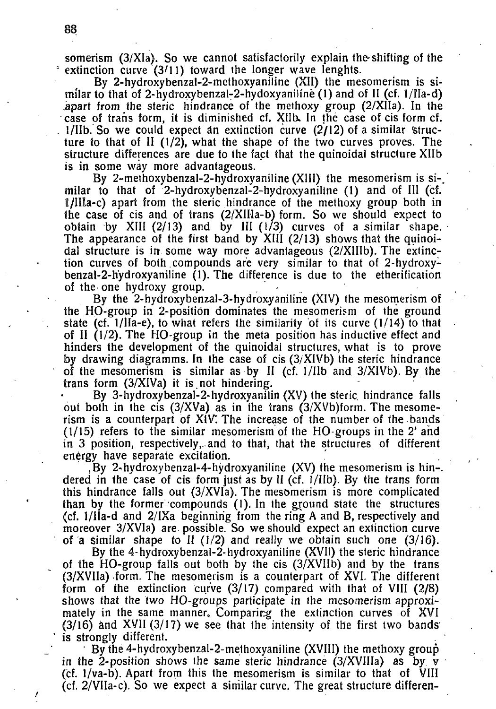somerism (3/XIa). So we cannot satisfactorily explain the-shifting of the <sup>e</sup> extinction curve (3/11) toward the longer wave lenghts.

By 2-hydroxybenzal-2-methoxyaniline (XII) the mesomerism is similar to that of 2-hydroxybenzal-2-hydoxyaniline  $(1)$  and of II (cf. 1/IIa-d) .apart from the steric hindrance of the methoxy group (2/XIIa). In the case of trans form, it is diminished cf. XIIb. In the case of cis form cf.  $1/11b$ . So we could expect an extinction curve  $(2/12)$  of a similar structure to that of II (1/2), what the shape of the two curves proves. The structure differences are due to the fact that the quinoidal structure Xllb is in some way more advantageous.

By 2-methoxybenzal-2-hydroxyaniline (XIII) the mesomerism is si-, milar to that of 2-hydroxybenzal-2-hydroxyaniline (1) and of III (cf.  $\mathbb{I}/\mathbb{II}$  apart from the steric hindrance of the methoxy group both in the case of cis and of trans (2/XIIIa-b) form. So we should expect to obtain by XIII ( $2/13$ ) and by III ( $1/3$ ) curves of a similar shape. The appearance of the first band by XIII  $(2/13)$  shows that the quinoidal structure is in some way more advantageous (2/XIIIb). The extinction curves of both compounds are very similar to that of 2-hydroxybenzal-2-h'ydroxyaniline (1). The difference is due to the etherification of the one hydroxy group.

By the 2-hydroxybenzal-3-hydroxyaniline (XIV) the mesomerism of the HO-group in 2-position dominates the mesomerism of the ground state (cf. l/lla-e), to what refers the similarity of its curve (1/14) to that of II (1/2). The HO-group in the meta position has inductive effect and hinders the development of the quinoidal structures, what is to prove by drawing diagramms. In the case of cis  $(3/XIVb)$  the steric hindrance of the mesomerism is similar as by  $\Pi$  (cf. 1/IIb and  $3/XIVD$ ). By the trans form  $(3/XIVa)$  it is not hindering.

By 3-hydroxybenzal-2-hydroxyanilin (XV) the steric. hindrance falls out both in the cis  $(3/XVa)$  as in the trans  $(3/XVb)$  form. The mesomerism is a counterpart of XIV'. The increase of the number of the bands (1/15) refers to the similar mesomerism of the HO-groups in the 2' and in 3 position, respectively,, and to that, that the structures of different energy have separate excitation.

By 2-hydroxybenzal-4-hydroxyaniline  $(XV)$  the mesomerism is hin-. dered in the case of cis form just as by II (cf. 1/IIb). By the trans form this hindrance falls out (3/XVIa). The mesomerism is more complicated than by the former compounds (1). In the ground state the structures (cf. 1/IIa-d and 2/IXa beginning from the ring A and B, respectively and moreover 3/XVIa) are possible. So we should expect an extinction curve of a similar shape to II ( $1/2$ ) and really we obtain such one ( $3/16$ ).

By the 4-hydroxybenzal-2-hydroxyaniline (XVII) the steric hindrance of the HO-group falls out both by the cis (3/XVIIb) and by the trans (3/XVIIa) form. The mesomerism is a counterpart of XVI. The different form of the extinction curve  $(3/17)$  compared with that of VIII  $(2/8)$ shows that the two HO-groups participate in the mesomerism approximately in the same manner. Comparing the extinction curves of XVI  $(3/16)$  and XVII  $(3/17)$  we see that the intensity of the first two bands is strongly different.

By the 4-hydroxybenzal-2-methoxyaniline (XVIII) the methoxy group in the 2-position shows the same steric hindrance  $(3/XV)$  as by v (cf. 1/va-b). Apart from this the mesomerism is similar to that of VIII (cf. 2/VIIa-c). So we expect a similar curve. The great structure differen-